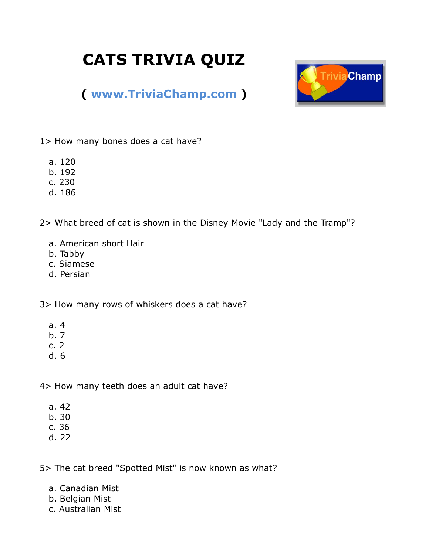## **CATS TRIVIA QUIZ**



## **( [www.TriviaChamp.com](http://www.triviachamp.com/) )**

1> How many bones does a cat have?

- a. 120
- b. 192
- c. 230
- d. 186

2> What breed of cat is shown in the Disney Movie "Lady and the Tramp"?

- a. American short Hair
- b. Tabby
- c. Siamese
- d. Persian

3> How many rows of whiskers does a cat have?

- a. 4
- b. 7
- c. 2
- d. 6

4> How many teeth does an adult cat have?

- a. 42
- b. 30
- c. 36
- d. 22

5> The cat breed "Spotted Mist" is now known as what?

- a. Canadian Mist
- b. Belgian Mist
- c. Australian Mist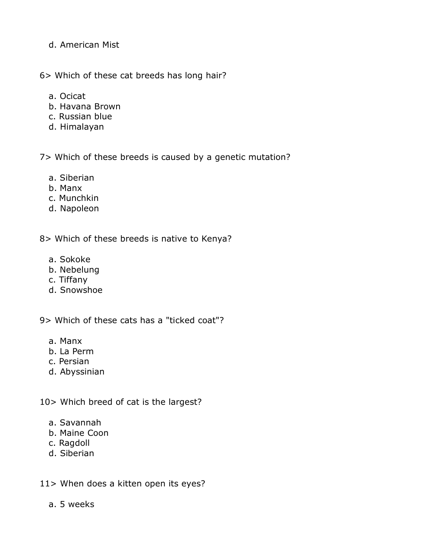- d. American Mist
- 6> Which of these cat breeds has long hair?
	- a. Ocicat
	- b. Havana Brown
	- c. Russian blue
	- d. Himalayan

7> Which of these breeds is caused by a genetic mutation?

- a. Siberian
- b. Manx
- c. Munchkin
- d. Napoleon

8> Which of these breeds is native to Kenya?

- a. Sokoke
- b. Nebelung
- c. Tiffany
- d. Snowshoe

9> Which of these cats has a "ticked coat"?

- a. Manx
- b. La Perm
- c. Persian
- d. Abyssinian

10> Which breed of cat is the largest?

- a. Savannah
- b. Maine Coon
- c. Ragdoll
- d. Siberian

11> When does a kitten open its eyes?

a. 5 weeks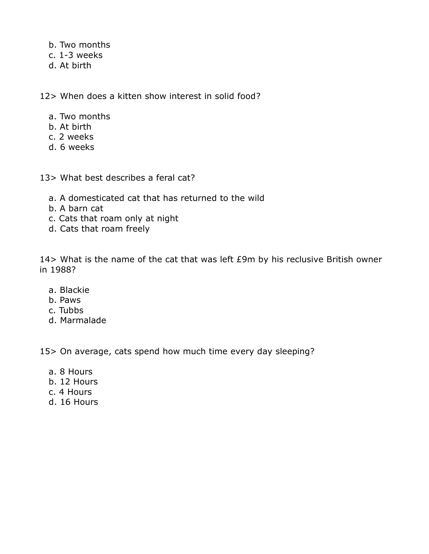- b. Two months
- c. 1-3 weeks
- d. At birth

12> When does a kitten show interest in solid food?

- a. Two months
- b. At birth
- c. 2 weeks
- d. 6 weeks
- 13> What best describes a feral cat?
	- a. A domesticated cat that has returned to the wild
	- b. A barn cat
	- c. Cats that roam only at night
	- d. Cats that roam freely

14> What is the name of the cat that was left £9m by his reclusive British owner in 1988?

- a. Blackie
- b. Paws
- c. Tubbs
- d. Marmalade

15> On average, cats spend how much time every day sleeping?

- a. 8 Hours
- b. 12 Hours
- c. 4 Hours
- d. 16 Hours